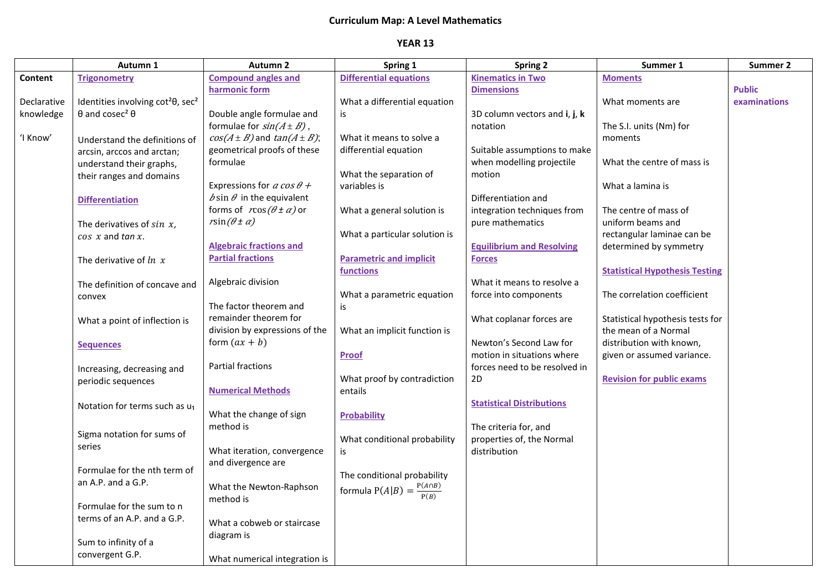## **Curriculum Map: A Level Mathematics**

## **YEAR 13**

|             | Autumn 1                                                  | <b>Autumn 2</b>                         | Spring 1                                    | <b>Spring 2</b>                  | Summer 1                              | Summer 2      |
|-------------|-----------------------------------------------------------|-----------------------------------------|---------------------------------------------|----------------------------------|---------------------------------------|---------------|
| Content     | <b>Trigonometry</b>                                       | <b>Compound angles and</b>              | <b>Differential equations</b>               | <b>Kinematics in Two</b>         | <b>Moments</b>                        |               |
|             |                                                           | harmonic form                           |                                             | <b>Dimensions</b>                |                                       | <b>Public</b> |
| Declarative | Identities involving cot <sup>2</sup> 0, sec <sup>2</sup> |                                         | What a differential equation                |                                  | What moments are                      | examinations  |
| knowledge   | $\theta$ and cosec <sup>2</sup> $\theta$                  | Double angle formulae and               | is                                          | 3D column vectors and i, j, k    |                                       |               |
|             |                                                           | formulae for $sin(A \pm B)$ ,           |                                             | notation                         | The S.I. units (Nm) for               |               |
| 'I Know'    | Understand the definitions of                             | $cos(A \pm B)$ and $tan(A \pm B)$ ;     | What it means to solve a                    |                                  | moments                               |               |
|             | arcsin, arccos and arctan;                                | geometrical proofs of these             | differential equation                       | Suitable assumptions to make     |                                       |               |
|             | understand their graphs,                                  | formulae                                |                                             | when modelling projectile        | What the centre of mass is            |               |
|             | their ranges and domains                                  |                                         | What the separation of                      | motion                           |                                       |               |
|             |                                                           | Expressions for a cos $\theta$ +        | variables is                                |                                  | What a lamina is                      |               |
|             | <b>Differentiation</b>                                    | $\delta$ sin $\theta$ in the equivalent |                                             | Differentiation and              |                                       |               |
|             |                                                           | forms of $r\cos(\theta \pm \alpha)$ or  | What a general solution is                  | integration techniques from      | The centre of mass of                 |               |
|             | The derivatives of $sin\ x$ ,                             | $r\sin(\theta \pm \alpha)$              |                                             | pure mathematics                 | uniform beams and                     |               |
|             | $cos x$ and $tan x$ .                                     | <b>Algebraic fractions and</b>          | What a particular solution is               |                                  | rectangular laminae can be            |               |
|             |                                                           | <b>Partial fractions</b>                |                                             | <b>Equilibrium and Resolving</b> | determined by symmetry                |               |
|             | The derivative of $ln x$                                  |                                         | <b>Parametric and implicit</b><br>functions | <b>Forces</b>                    |                                       |               |
|             |                                                           | Algebraic division                      |                                             | What it means to resolve a       | <b>Statistical Hypothesis Testing</b> |               |
|             | The definition of concave and                             |                                         | What a parametric equation                  | force into components            | The correlation coefficient           |               |
|             | convex                                                    | The factor theorem and                  | is                                          |                                  |                                       |               |
|             |                                                           | remainder theorem for                   |                                             | What coplanar forces are         | Statistical hypothesis tests for      |               |
|             | What a point of inflection is                             | division by expressions of the          | What an implicit function is                |                                  | the mean of a Normal                  |               |
|             |                                                           | form $(ax + b)$                         |                                             | Newton's Second Law for          | distribution with known,              |               |
|             | <b>Sequences</b>                                          |                                         | <b>Proof</b>                                | motion in situations where       | given or assumed variance.            |               |
|             | Increasing, decreasing and                                | <b>Partial fractions</b>                |                                             | forces need to be resolved in    |                                       |               |
|             | periodic sequences                                        |                                         | What proof by contradiction                 | 2D                               | <b>Revision for public exams</b>      |               |
|             |                                                           | <b>Numerical Methods</b>                | entails                                     |                                  |                                       |               |
|             | Notation for terms such as $u_1$                          |                                         |                                             | <b>Statistical Distributions</b> |                                       |               |
|             |                                                           | What the change of sign                 | <b>Probability</b>                          |                                  |                                       |               |
|             |                                                           | method is                               |                                             | The criteria for, and            |                                       |               |
|             | Sigma notation for sums of                                |                                         | What conditional probability                | properties of, the Normal        |                                       |               |
|             | series                                                    | What iteration, convergence             | is                                          | distribution                     |                                       |               |
|             |                                                           | and divergence are                      |                                             |                                  |                                       |               |
|             | Formulae for the nth term of<br>an A.P. and a G.P.        |                                         | The conditional probability                 |                                  |                                       |               |
|             |                                                           | What the Newton-Raphson                 | formula $P(A B) = \frac{P(A \cap B)}{P(B)}$ |                                  |                                       |               |
|             | Formulae for the sum to n                                 | method is                               |                                             |                                  |                                       |               |
|             | terms of an A.P. and a G.P.                               |                                         |                                             |                                  |                                       |               |
|             |                                                           | What a cobweb or staircase              |                                             |                                  |                                       |               |
|             | Sum to infinity of a                                      | diagram is                              |                                             |                                  |                                       |               |
|             | convergent G.P.                                           |                                         |                                             |                                  |                                       |               |
|             |                                                           | What numerical integration is           |                                             |                                  |                                       |               |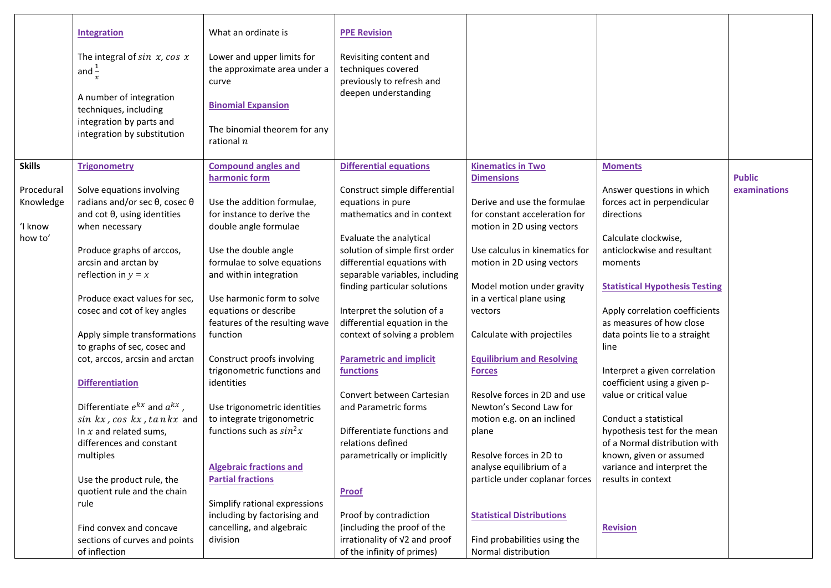|               | <b>Integration</b>                                                                  | What an ordinate is                                        | <b>PPE Revision</b>                               |                                                              |                                           |               |
|---------------|-------------------------------------------------------------------------------------|------------------------------------------------------------|---------------------------------------------------|--------------------------------------------------------------|-------------------------------------------|---------------|
|               |                                                                                     |                                                            |                                                   |                                                              |                                           |               |
|               | The integral of $sin\ x$ , $cos\ x$<br>and $\frac{1}{x}$                            | Lower and upper limits for<br>the approximate area under a | Revisiting content and<br>techniques covered      |                                                              |                                           |               |
|               |                                                                                     | curve                                                      | previously to refresh and<br>deepen understanding |                                                              |                                           |               |
|               | A number of integration<br>techniques, including                                    | <b>Binomial Expansion</b>                                  |                                                   |                                                              |                                           |               |
|               | integration by parts and<br>integration by substitution                             | The binomial theorem for any<br>rational $n$               |                                                   |                                                              |                                           |               |
| <b>Skills</b> | <b>Trigonometry</b>                                                                 | <b>Compound angles and</b>                                 | <b>Differential equations</b>                     | <b>Kinematics in Two</b>                                     | <b>Moments</b>                            |               |
|               |                                                                                     | harmonic form                                              |                                                   | <b>Dimensions</b>                                            |                                           | <b>Public</b> |
| Procedural    | Solve equations involving                                                           |                                                            | Construct simple differential                     |                                                              | Answer questions in which                 | examinations  |
| Knowledge     | radians and/or sec $\theta$ , cosec $\theta$<br>and $cot \theta$ , using identities | Use the addition formulae,<br>for instance to derive the   | equations in pure<br>mathematics and in context   | Derive and use the formulae<br>for constant acceleration for | forces act in perpendicular<br>directions |               |
| 'I know       | when necessary                                                                      | double angle formulae                                      |                                                   | motion in 2D using vectors                                   |                                           |               |
| how to'       |                                                                                     |                                                            | Evaluate the analytical                           |                                                              | Calculate clockwise,                      |               |
|               | Produce graphs of arccos,                                                           | Use the double angle                                       | solution of simple first order                    | Use calculus in kinematics for                               | anticlockwise and resultant               |               |
|               | arcsin and arctan by                                                                | formulae to solve equations                                | differential equations with                       | motion in 2D using vectors                                   | moments                                   |               |
|               | reflection in $y = x$                                                               | and within integration                                     | separable variables, including                    |                                                              |                                           |               |
|               |                                                                                     |                                                            | finding particular solutions                      | Model motion under gravity                                   | <b>Statistical Hypothesis Testing</b>     |               |
|               | Produce exact values for sec,                                                       | Use harmonic form to solve                                 |                                                   | in a vertical plane using                                    |                                           |               |
|               | cosec and cot of key angles                                                         | equations or describe                                      | Interpret the solution of a                       | vectors                                                      | Apply correlation coefficients            |               |
|               |                                                                                     | features of the resulting wave                             | differential equation in the                      |                                                              | as measures of how close                  |               |
|               | Apply simple transformations                                                        | function                                                   | context of solving a problem                      | Calculate with projectiles                                   | data points lie to a straight             |               |
|               | to graphs of sec, cosec and<br>cot, arccos, arcsin and arctan                       | Construct proofs involving                                 | <b>Parametric and implicit</b>                    | <b>Equilibrium and Resolving</b>                             | line                                      |               |
|               |                                                                                     | trigonometric functions and                                | functions                                         | <b>Forces</b>                                                | Interpret a given correlation             |               |
|               | <b>Differentiation</b>                                                              | identities                                                 |                                                   |                                                              | coefficient using a given p-              |               |
|               |                                                                                     |                                                            | Convert between Cartesian                         | Resolve forces in 2D and use                                 | value or critical value                   |               |
|               | Differentiate $e^{kx}$ and $a^{kx}$ ,                                               | Use trigonometric identities                               | and Parametric forms                              | Newton's Second Law for                                      |                                           |               |
|               | sin kx, cos kx, tan kx and                                                          | to integrate trigonometric                                 |                                                   | motion e.g. on an inclined                                   | Conduct a statistical                     |               |
|               | In $x$ and related sums,                                                            | functions such as $sin^2x$                                 | Differentiate functions and                       | plane                                                        | hypothesis test for the mean              |               |
|               | differences and constant                                                            |                                                            | relations defined                                 |                                                              | of a Normal distribution with             |               |
|               | multiples                                                                           |                                                            | parametrically or implicitly                      | Resolve forces in 2D to                                      | known, given or assumed                   |               |
|               |                                                                                     | <b>Algebraic fractions and</b>                             |                                                   | analyse equilibrium of a                                     | variance and interpret the                |               |
|               | Use the product rule, the                                                           | <b>Partial fractions</b>                                   |                                                   | particle under coplanar forces                               | results in context                        |               |
|               | quotient rule and the chain                                                         | Simplify rational expressions                              | <b>Proof</b>                                      |                                                              |                                           |               |
|               | rule                                                                                | including by factorising and                               | Proof by contradiction                            | <b>Statistical Distributions</b>                             |                                           |               |
|               | Find convex and concave                                                             | cancelling, and algebraic                                  | (including the proof of the                       |                                                              | <b>Revision</b>                           |               |
|               | sections of curves and points                                                       | division                                                   | irrationality of V2 and proof                     | Find probabilities using the                                 |                                           |               |
|               | of inflection                                                                       |                                                            | of the infinity of primes)                        | Normal distribution                                          |                                           |               |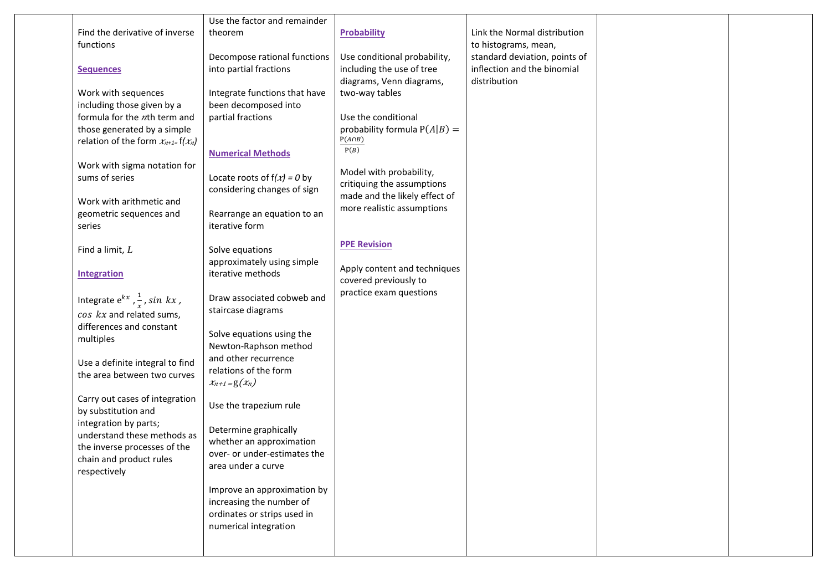|                                              | Use the factor and remainder                      |                                                 |                               |  |
|----------------------------------------------|---------------------------------------------------|-------------------------------------------------|-------------------------------|--|
| Find the derivative of inverse               | theorem                                           | <b>Probability</b>                              | Link the Normal distribution  |  |
| functions                                    |                                                   |                                                 | to histograms, mean,          |  |
|                                              | Decompose rational functions                      | Use conditional probability,                    | standard deviation, points of |  |
| <b>Sequences</b>                             | into partial fractions                            | including the use of tree                       | inflection and the binomial   |  |
|                                              |                                                   | diagrams, Venn diagrams,                        | distribution                  |  |
| Work with sequences                          | Integrate functions that have                     | two-way tables                                  |                               |  |
| including those given by a                   | been decomposed into                              |                                                 |                               |  |
| formula for the nth term and                 | partial fractions                                 | Use the conditional                             |                               |  |
| those generated by a simple                  |                                                   | probability formula $P(A B) =$<br>$P(A \cap B)$ |                               |  |
| relation of the form $x_{n+1}$ = f( $x_n$ )  |                                                   | P(B)                                            |                               |  |
| Work with sigma notation for                 | <b>Numerical Methods</b>                          |                                                 |                               |  |
| sums of series                               | Locate roots of $f(x) = 0$ by                     | Model with probability,                         |                               |  |
|                                              | considering changes of sign                       | critiquing the assumptions                      |                               |  |
| Work with arithmetic and                     |                                                   | made and the likely effect of                   |                               |  |
| geometric sequences and                      | Rearrange an equation to an                       | more realistic assumptions                      |                               |  |
| series                                       | iterative form                                    |                                                 |                               |  |
|                                              |                                                   |                                                 |                               |  |
| Find a limit, $L$                            | Solve equations                                   | <b>PPE Revision</b>                             |                               |  |
|                                              | approximately using simple                        | Apply content and techniques                    |                               |  |
| <b>Integration</b>                           | iterative methods                                 | covered previously to                           |                               |  |
|                                              |                                                   | practice exam questions                         |                               |  |
| Integrate $e^{kx}$ , $\frac{1}{x}$ , sin kx, | Draw associated cobweb and                        |                                                 |                               |  |
| cos kx and related sums,                     | staircase diagrams                                |                                                 |                               |  |
| differences and constant                     | Solve equations using the                         |                                                 |                               |  |
| multiples                                    | Newton-Raphson method                             |                                                 |                               |  |
| Use a definite integral to find              | and other recurrence                              |                                                 |                               |  |
| the area between two curves                  | relations of the form                             |                                                 |                               |  |
|                                              | $x_{n+1} = g(x_n)$                                |                                                 |                               |  |
| Carry out cases of integration               |                                                   |                                                 |                               |  |
| by substitution and                          | Use the trapezium rule                            |                                                 |                               |  |
| integration by parts;                        |                                                   |                                                 |                               |  |
| understand these methods as                  | Determine graphically<br>whether an approximation |                                                 |                               |  |
| the inverse processes of the                 | over- or under-estimates the                      |                                                 |                               |  |
| chain and product rules                      | area under a curve                                |                                                 |                               |  |
| respectively                                 |                                                   |                                                 |                               |  |
|                                              | Improve an approximation by                       |                                                 |                               |  |
|                                              | increasing the number of                          |                                                 |                               |  |
|                                              | ordinates or strips used in                       |                                                 |                               |  |
|                                              | numerical integration                             |                                                 |                               |  |
|                                              |                                                   |                                                 |                               |  |
|                                              |                                                   |                                                 |                               |  |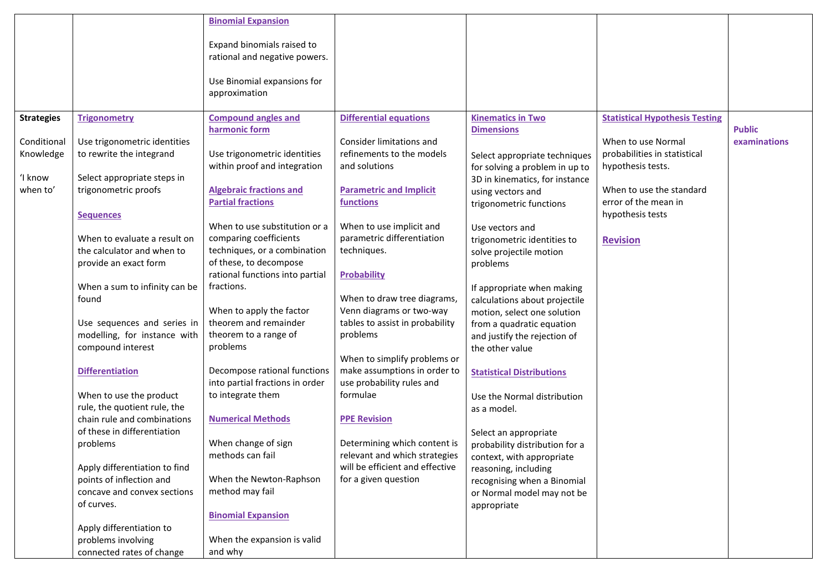|                   |                                                           | <b>Binomial Expansion</b>                                   |                                                                  |                                                                 |                                       |               |
|-------------------|-----------------------------------------------------------|-------------------------------------------------------------|------------------------------------------------------------------|-----------------------------------------------------------------|---------------------------------------|---------------|
|                   |                                                           | Expand binomials raised to<br>rational and negative powers. |                                                                  |                                                                 |                                       |               |
|                   |                                                           | Use Binomial expansions for<br>approximation                |                                                                  |                                                                 |                                       |               |
| <b>Strategies</b> | <b>Trigonometry</b>                                       | <b>Compound angles and</b><br>harmonic form                 | <b>Differential equations</b>                                    | <b>Kinematics in Two</b><br><b>Dimensions</b>                   | <b>Statistical Hypothesis Testing</b> | <b>Public</b> |
| Conditional       | Use trigonometric identities                              |                                                             | Consider limitations and                                         |                                                                 | When to use Normal                    | examinations  |
| Knowledge         | to rewrite the integrand                                  | Use trigonometric identities                                | refinements to the models                                        |                                                                 | probabilities in statistical          |               |
|                   |                                                           | within proof and integration                                | and solutions                                                    | Select appropriate techniques<br>for solving a problem in up to | hypothesis tests.                     |               |
| ʻI know           | Select appropriate steps in                               |                                                             |                                                                  | 3D in kinematics, for instance                                  |                                       |               |
| when to'          | trigonometric proofs                                      | <b>Algebraic fractions and</b>                              | <b>Parametric and Implicit</b>                                   | using vectors and                                               | When to use the standard              |               |
|                   |                                                           | <b>Partial fractions</b>                                    | <b>functions</b>                                                 | trigonometric functions                                         | error of the mean in                  |               |
|                   | <b>Sequences</b>                                          |                                                             |                                                                  |                                                                 | hypothesis tests                      |               |
|                   |                                                           | When to use substitution or a                               | When to use implicit and                                         | Use vectors and                                                 |                                       |               |
|                   | When to evaluate a result on                              | comparing coefficients                                      | parametric differentiation                                       | trigonometric identities to                                     | <b>Revision</b>                       |               |
|                   | the calculator and when to                                | techniques, or a combination                                | techniques.                                                      | solve projectile motion                                         |                                       |               |
|                   | provide an exact form                                     | of these, to decompose                                      |                                                                  | problems                                                        |                                       |               |
|                   |                                                           | rational functions into partial                             | <b>Probability</b>                                               |                                                                 |                                       |               |
|                   | When a sum to infinity can be                             | fractions.                                                  | When to draw tree diagrams,                                      | If appropriate when making                                      |                                       |               |
|                   | found                                                     | When to apply the factor                                    | Venn diagrams or two-way                                         | calculations about projectile                                   |                                       |               |
|                   | Use sequences and series in                               | theorem and remainder                                       | tables to assist in probability                                  | motion, select one solution                                     |                                       |               |
|                   | modelling, for instance with                              | theorem to a range of                                       | problems                                                         | from a quadratic equation<br>and justify the rejection of       |                                       |               |
|                   | compound interest                                         | problems                                                    |                                                                  | the other value                                                 |                                       |               |
|                   |                                                           |                                                             | When to simplify problems or                                     |                                                                 |                                       |               |
|                   | <b>Differentiation</b>                                    | Decompose rational functions                                | make assumptions in order to                                     | <b>Statistical Distributions</b>                                |                                       |               |
|                   |                                                           | into partial fractions in order                             | use probability rules and                                        |                                                                 |                                       |               |
|                   | When to use the product                                   | to integrate them                                           | formulae                                                         | Use the Normal distribution                                     |                                       |               |
|                   | rule, the quotient rule, the                              |                                                             |                                                                  | as a model.                                                     |                                       |               |
|                   | chain rule and combinations                               | <b>Numerical Methods</b>                                    | <b>PPE Revision</b>                                              |                                                                 |                                       |               |
|                   | of these in differentiation                               |                                                             |                                                                  | Select an appropriate                                           |                                       |               |
|                   | problems                                                  | When change of sign                                         | Determining which content is                                     | probability distribution for a                                  |                                       |               |
|                   |                                                           | methods can fail                                            | relevant and which strategies<br>will be efficient and effective | context, with appropriate                                       |                                       |               |
|                   | Apply differentiation to find<br>points of inflection and | When the Newton-Raphson                                     | for a given question                                             | reasoning, including                                            |                                       |               |
|                   | concave and convex sections                               | method may fail                                             |                                                                  | recognising when a Binomial<br>or Normal model may not be       |                                       |               |
|                   | of curves.                                                |                                                             |                                                                  | appropriate                                                     |                                       |               |
|                   |                                                           | <b>Binomial Expansion</b>                                   |                                                                  |                                                                 |                                       |               |
|                   | Apply differentiation to                                  |                                                             |                                                                  |                                                                 |                                       |               |
|                   | problems involving                                        | When the expansion is valid                                 |                                                                  |                                                                 |                                       |               |
|                   | connected rates of change                                 | and why                                                     |                                                                  |                                                                 |                                       |               |